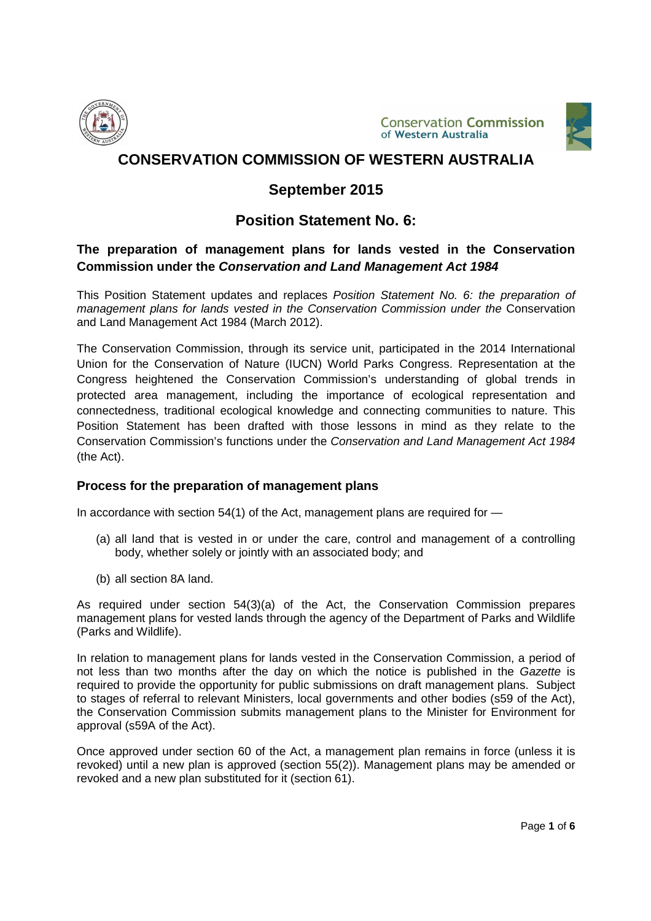





# **September 2015**

## **Position Statement No. 6:**

## **The preparation of management plans for lands vested in the Conservation Commission under the Conservation and Land Management Act 1984**

This Position Statement updates and replaces Position Statement No. 6: the preparation of management plans for lands vested in the Conservation Commission under the Conservation and Land Management Act 1984 (March 2012).

The Conservation Commission, through its service unit, participated in the 2014 International Union for the Conservation of Nature (IUCN) World Parks Congress. Representation at the Congress heightened the Conservation Commission's understanding of global trends in protected area management, including the importance of ecological representation and connectedness, traditional ecological knowledge and connecting communities to nature. This Position Statement has been drafted with those lessons in mind as they relate to the Conservation Commission's functions under the Conservation and Land Management Act 1984 (the Act).

#### **Process for the preparation of management plans**

In accordance with section 54(1) of the Act, management plans are required for —

- (a) all land that is vested in or under the care, control and management of a controlling body, whether solely or jointly with an associated body; and
- (b) all section 8A land.

As required under section 54(3)(a) of the Act, the Conservation Commission prepares management plans for vested lands through the agency of the Department of Parks and Wildlife (Parks and Wildlife).

In relation to management plans for lands vested in the Conservation Commission, a period of not less than two months after the day on which the notice is published in the Gazette is required to provide the opportunity for public submissions on draft management plans. Subject to stages of referral to relevant Ministers, local governments and other bodies (s59 of the Act), the Conservation Commission submits management plans to the Minister for Environment for approval (s59A of the Act).

Once approved under section 60 of the Act, a management plan remains in force (unless it is revoked) until a new plan is approved (section 55(2)). Management plans may be amended or revoked and a new plan substituted for it (section 61).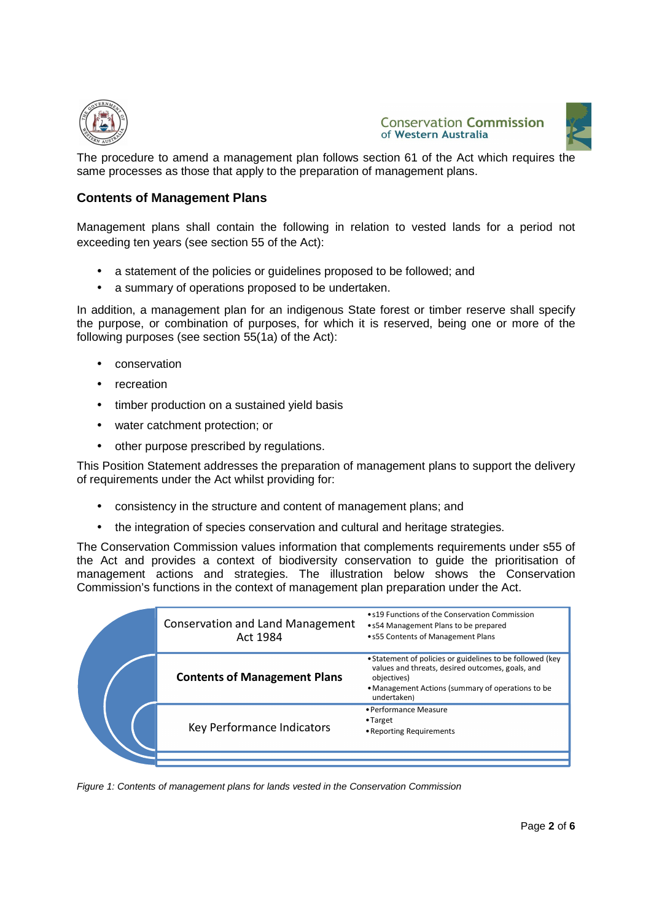





The procedure to amend a management plan follows section 61 of the Act which requires the same processes as those that apply to the preparation of management plans.

#### **Contents of Management Plans**

Management plans shall contain the following in relation to vested lands for a period not exceeding ten years (see section 55 of the Act):

- a statement of the policies or guidelines proposed to be followed; and
- a summary of operations proposed to be undertaken.

In addition, a management plan for an indigenous State forest or timber reserve shall specify the purpose, or combination of purposes, for which it is reserved, being one or more of the following purposes (see section 55(1a) of the Act):

- conservation
- recreation
- timber production on a sustained yield basis
- water catchment protection; or
- other purpose prescribed by regulations.

This Position Statement addresses the preparation of management plans to support the delivery of requirements under the Act whilst providing for:

- consistency in the structure and content of management plans; and
- the integration of species conservation and cultural and heritage strategies.

The Conservation Commission values information that complements requirements under s55 of the Act and provides a context of biodiversity conservation to guide the prioritisation of management actions and strategies. The illustration below shows the Conservation Commission's functions in the context of management plan preparation under the Act.

|  | <b>Conservation and Land Management</b><br>Act 1984 | • s19 Functions of the Conservation Commission<br>• s54 Management Plans to be prepared<br>• s55 Contents of Management Plans                                                                    |
|--|-----------------------------------------------------|--------------------------------------------------------------------------------------------------------------------------------------------------------------------------------------------------|
|  | <b>Contents of Management Plans</b>                 | • Statement of policies or guidelines to be followed (key<br>values and threats, desired outcomes, goals, and<br>objectives)<br>• Management Actions (summary of operations to be<br>undertaken) |
|  | Key Performance Indicators                          | • Performance Measure<br>$\bullet$ Target<br>• Reporting Requirements                                                                                                                            |
|  |                                                     |                                                                                                                                                                                                  |

Figure 1: Contents of management plans for lands vested in the Conservation Commission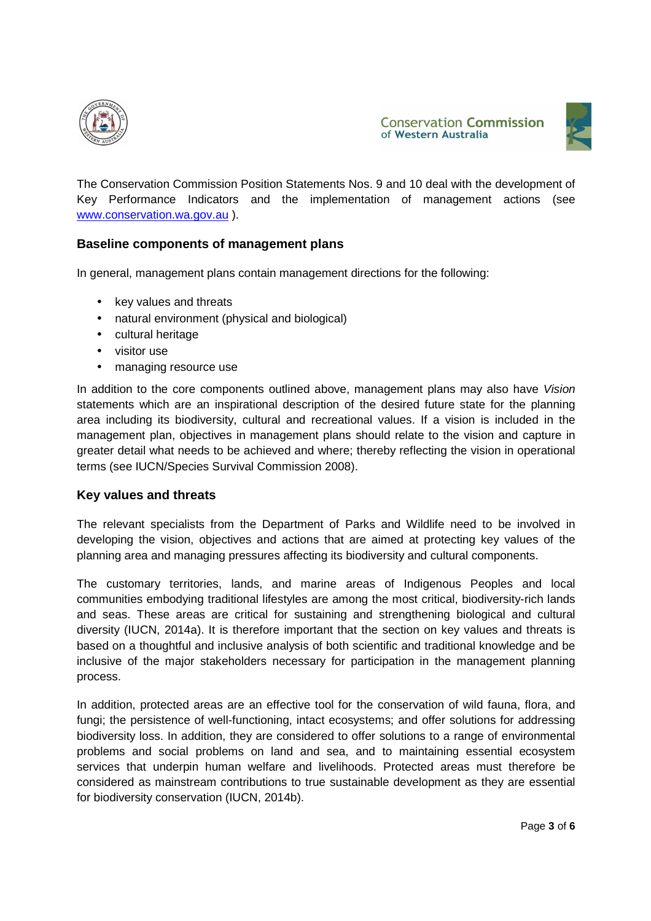



The Conservation Commission Position Statements Nos. 9 and 10 deal with the development of Key Performance Indicators and the implementation of management actions (see www.conservation.wa.gov.au ).

## **Baseline components of management plans**

In general, management plans contain management directions for the following:

- key values and threats
- natural environment (physical and biological)
- cultural heritage
- visitor use
- managing resource use

In addition to the core components outlined above, management plans may also have Vision statements which are an inspirational description of the desired future state for the planning area including its biodiversity, cultural and recreational values. If a vision is included in the management plan, objectives in management plans should relate to the vision and capture in greater detail what needs to be achieved and where; thereby reflecting the vision in operational terms (see IUCN/Species Survival Commission 2008).

#### **Key values and threats**

The relevant specialists from the Department of Parks and Wildlife need to be involved in developing the vision, objectives and actions that are aimed at protecting key values of the planning area and managing pressures affecting its biodiversity and cultural components.

The customary territories, lands, and marine areas of Indigenous Peoples and local communities embodying traditional lifestyles are among the most critical, biodiversity-rich lands and seas. These areas are critical for sustaining and strengthening biological and cultural diversity (IUCN, 2014a). It is therefore important that the section on key values and threats is based on a thoughtful and inclusive analysis of both scientific and traditional knowledge and be inclusive of the major stakeholders necessary for participation in the management planning process.

In addition, protected areas are an effective tool for the conservation of wild fauna, flora, and fungi; the persistence of well-functioning, intact ecosystems; and offer solutions for addressing biodiversity loss. In addition, they are considered to offer solutions to a range of environmental problems and social problems on land and sea, and to maintaining essential ecosystem services that underpin human welfare and livelihoods. Protected areas must therefore be considered as mainstream contributions to true sustainable development as they are essential for biodiversity conservation (IUCN, 2014b).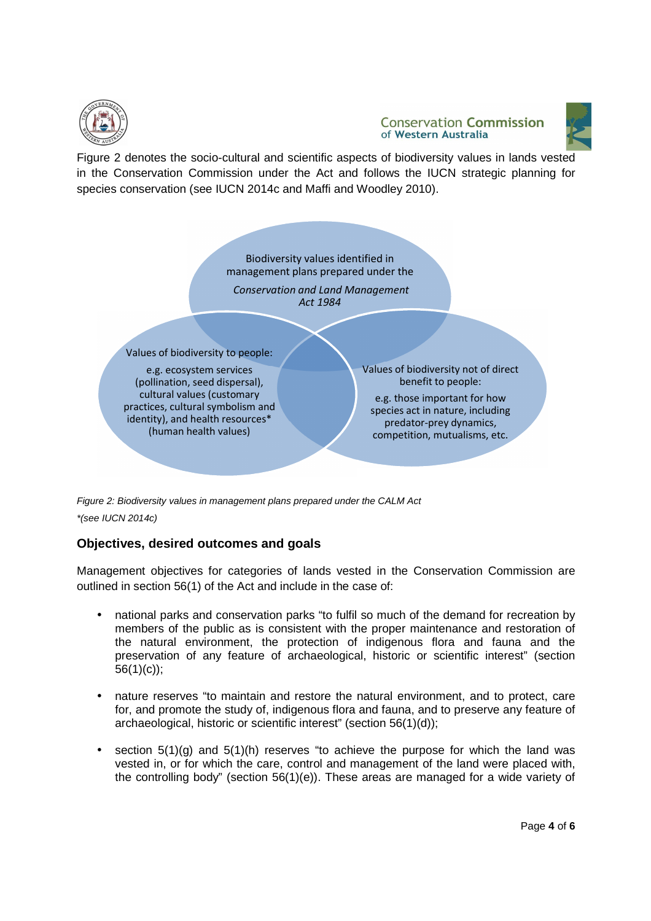

#### **Conservation Commission** of Western Australia



Figure 2 denotes the socio-cultural and scientific aspects of biodiversity values in lands vested in the Conservation Commission under the Act and follows the IUCN strategic planning for species conservation (see IUCN 2014c and Maffi and Woodley 2010).



Figure 2: Biodiversity values in management plans prepared under the CALM Act \*(see IUCN 2014c)

## **Objectives, desired outcomes and goals**

Management objectives for categories of lands vested in the Conservation Commission are outlined in section 56(1) of the Act and include in the case of:

- national parks and conservation parks "to fulfil so much of the demand for recreation by members of the public as is consistent with the proper maintenance and restoration of the natural environment, the protection of indigenous flora and fauna and the preservation of any feature of archaeological, historic or scientific interest" (section 56(1)(c));
- nature reserves "to maintain and restore the natural environment, and to protect, care for, and promote the study of, indigenous flora and fauna, and to preserve any feature of archaeological, historic or scientific interest" (section 56(1)(d));
- section  $5(1)(q)$  and  $5(1)(h)$  reserves "to achieve the purpose for which the land was vested in, or for which the care, control and management of the land were placed with, the controlling body" (section 56(1)(e)). These areas are managed for a wide variety of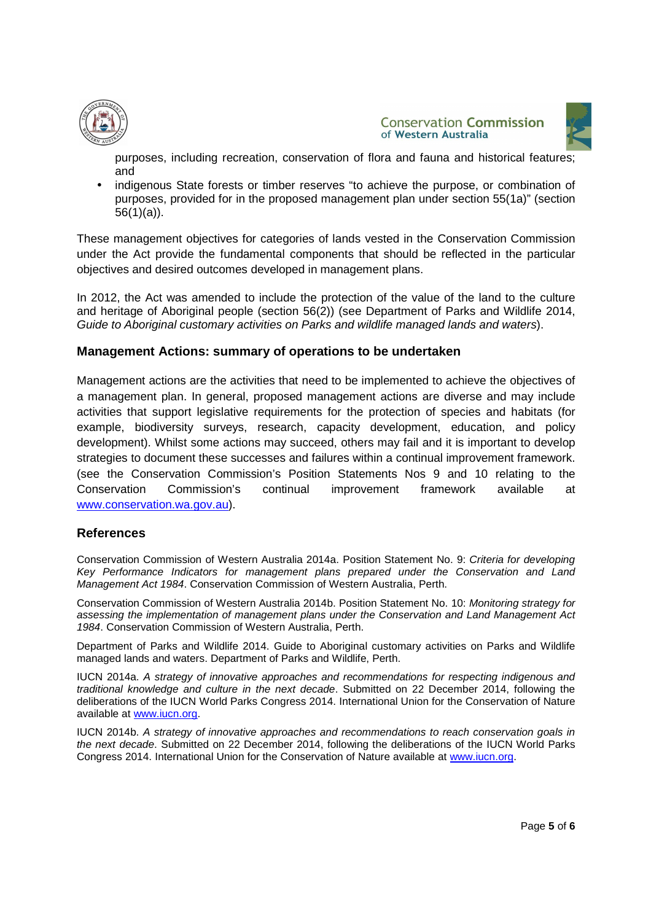



purposes, including recreation, conservation of flora and fauna and historical features; and

indigenous State forests or timber reserves "to achieve the purpose, or combination of purposes, provided for in the proposed management plan under section 55(1a)" (section 56(1)(a)).

These management objectives for categories of lands vested in the Conservation Commission under the Act provide the fundamental components that should be reflected in the particular objectives and desired outcomes developed in management plans.

In 2012, the Act was amended to include the protection of the value of the land to the culture and heritage of Aboriginal people (section 56(2)) (see Department of Parks and Wildlife 2014, Guide to Aboriginal customary activities on Parks and wildlife managed lands and waters).

### **Management Actions: summary of operations to be undertaken**

Management actions are the activities that need to be implemented to achieve the objectives of a management plan. In general, proposed management actions are diverse and may include activities that support legislative requirements for the protection of species and habitats (for example, biodiversity surveys, research, capacity development, education, and policy development). Whilst some actions may succeed, others may fail and it is important to develop strategies to document these successes and failures within a continual improvement framework. (see the Conservation Commission's Position Statements Nos 9 and 10 relating to the Conservation Commission's continual improvement framework available at www.conservation.wa.gov.au).

#### **References**

Conservation Commission of Western Australia 2014a. Position Statement No. 9: Criteria for developing Key Performance Indicators for management plans prepared under the Conservation and Land Management Act 1984. Conservation Commission of Western Australia, Perth.

Conservation Commission of Western Australia 2014b. Position Statement No. 10: Monitoring strategy for assessing the implementation of management plans under the Conservation and Land Management Act 1984. Conservation Commission of Western Australia, Perth.

Department of Parks and Wildlife 2014. Guide to Aboriginal customary activities on Parks and Wildlife managed lands and waters. Department of Parks and Wildlife, Perth.

IUCN 2014a. A strategy of innovative approaches and recommendations for respecting indigenous and traditional knowledge and culture in the next decade. Submitted on 22 December 2014, following the deliberations of the IUCN World Parks Congress 2014. International Union for the Conservation of Nature available at www.iucn.org.

IUCN 2014b. A strategy of innovative approaches and recommendations to reach conservation goals in the next decade. Submitted on 22 December 2014, following the deliberations of the IUCN World Parks Congress 2014. International Union for the Conservation of Nature available at www.iucn.org.